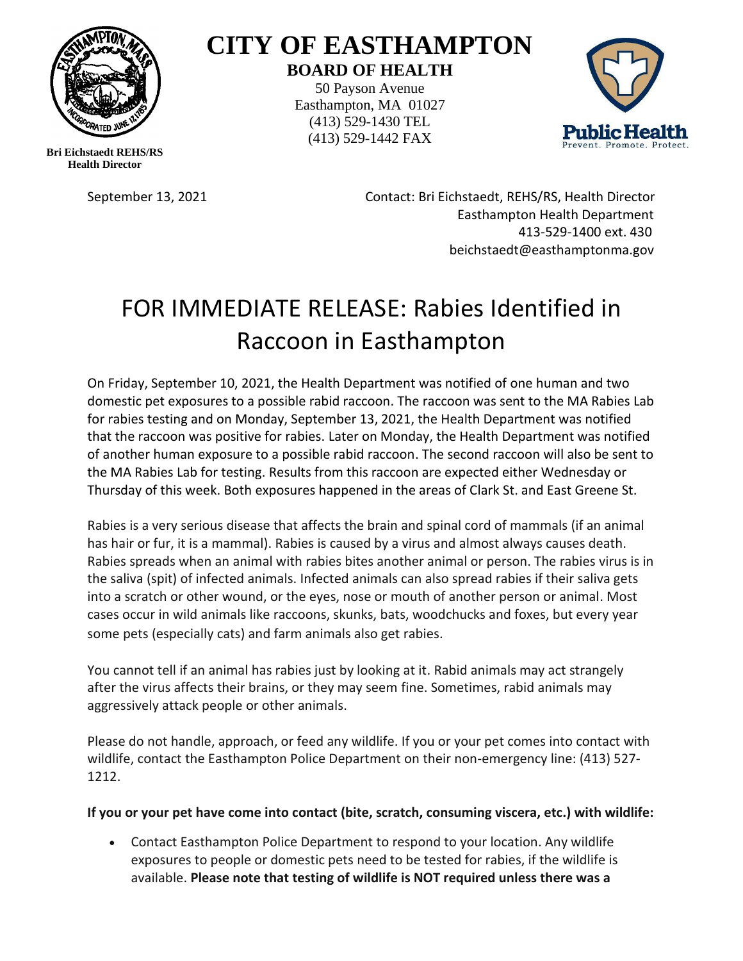

## **CITY OF EASTHAMPTON BOARD OF HEALTH**

50 Payson Avenue Easthampton, MA 01027 (413) 529-1430 TEL (413) 529-1442 FAX



**Bri Eichstaedt REHS/RS Health Director**

September 13, 2021 Contact: Bri Eichstaedt, REHS/RS, Health Director Easthampton Health Department 413-529-1400 ext. 430 beichstaedt@easthamptonma.gov

## FOR IMMEDIATE RELEASE: Rabies Identified in Raccoon in Easthampton

On Friday, September 10, 2021, the Health Department was notified of one human and two domestic pet exposures to a possible rabid raccoon. The raccoon was sent to the MA Rabies Lab for rabies testing and on Monday, September 13, 2021, the Health Department was notified that the raccoon was positive for rabies. Later on Monday, the Health Department was notified of another human exposure to a possible rabid raccoon. The second raccoon will also be sent to the MA Rabies Lab for testing. Results from this raccoon are expected either Wednesday or Thursday of this week. Both exposures happened in the areas of Clark St. and East Greene St.

Rabies is a very serious disease that affects the brain and spinal cord of mammals (if an animal has hair or fur, it is a mammal). Rabies is caused by a virus and almost always causes death. Rabies spreads when an animal with rabies bites another animal or person. The rabies virus is in the saliva (spit) of infected animals. Infected animals can also spread rabies if their saliva gets into a scratch or other wound, or the eyes, nose or mouth of another person or animal. Most cases occur in wild animals like raccoons, skunks, bats, woodchucks and foxes, but every year some pets (especially cats) and farm animals also get rabies.

You cannot tell if an animal has rabies just by looking at it. Rabid animals may act strangely after the virus affects their brains, or they may seem fine. Sometimes, rabid animals may aggressively attack people or other animals.

Please do not handle, approach, or feed any wildlife. If you or your pet comes into contact with wildlife, contact the Easthampton Police Department on their non-emergency line: (413) 527- 1212.

**If you or your pet have come into contact (bite, scratch, consuming viscera, etc.) with wildlife:** 

• Contact Easthampton Police Department to respond to your location. Any wildlife exposures to people or domestic pets need to be tested for rabies, if the wildlife is available. **Please note that testing of wildlife is NOT required unless there was a**